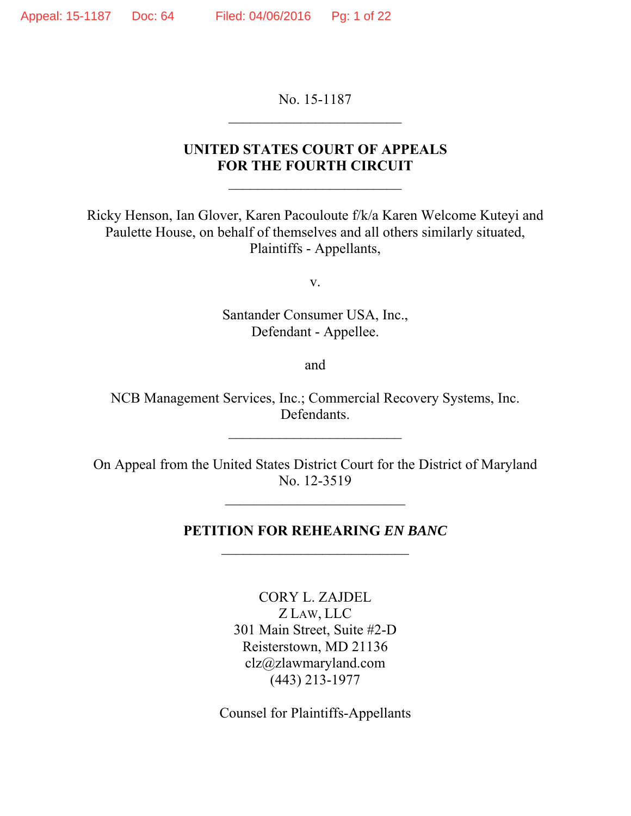No. 15-1187  $\overline{\phantom{a}}$  , where  $\overline{\phantom{a}}$  , where  $\overline{\phantom{a}}$  , where  $\overline{\phantom{a}}$ 

## **UNITED STATES COURT OF APPEALS FOR THE FOURTH CIRCUIT**

 $\overline{\phantom{a}}$  , where  $\overline{\phantom{a}}$ 

Ricky Henson, Ian Glover, Karen Pacouloute f/k/a Karen Welcome Kuteyi and Paulette House, on behalf of themselves and all others similarly situated, Plaintiffs - Appellants,

v.

Santander Consumer USA, Inc., Defendant - Appellee.

and

NCB Management Services, Inc.; Commercial Recovery Systems, Inc. Defendants.

 $\overline{\phantom{a}}$  , where  $\overline{\phantom{a}}$ 

On Appeal from the United States District Court for the District of Maryland No. 12-3519

## **PETITION FOR REHEARING** *EN BANC*  $\overline{\phantom{a}}$  , where  $\overline{\phantom{a}}$

CORY L. ZAJDEL Z LAW, LLC 301 Main Street, Suite #2-D Reisterstown, MD 21136 clz@zlawmaryland.com (443) 213-1977

Counsel for Plaintiffs-Appellants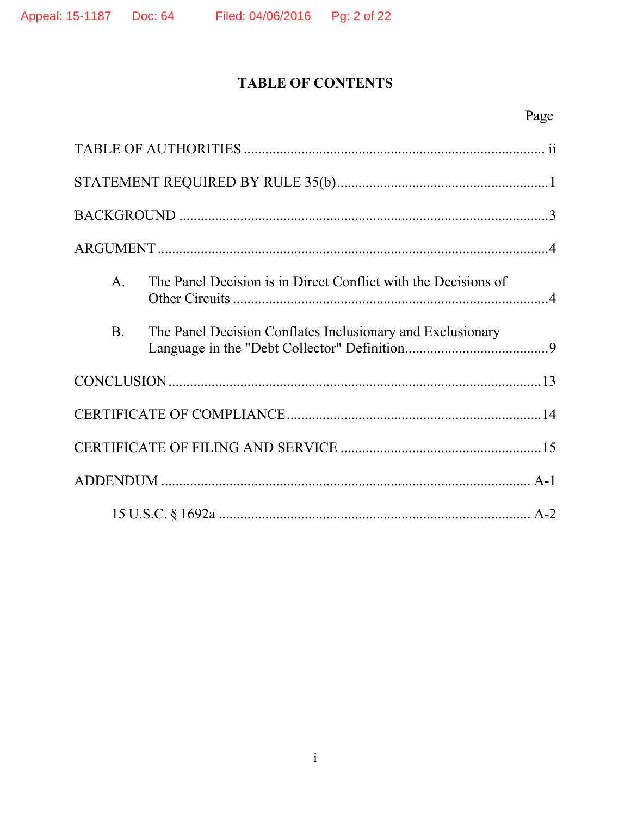# **TABLE OF CONTENTS**

| $A_{\cdot}$ | The Panel Decision is in Direct Conflict with the Decisions of |  |
|-------------|----------------------------------------------------------------|--|
| <b>B.</b>   | The Panel Decision Conflates Inclusionary and Exclusionary     |  |
|             |                                                                |  |
|             |                                                                |  |
|             |                                                                |  |
|             |                                                                |  |
|             |                                                                |  |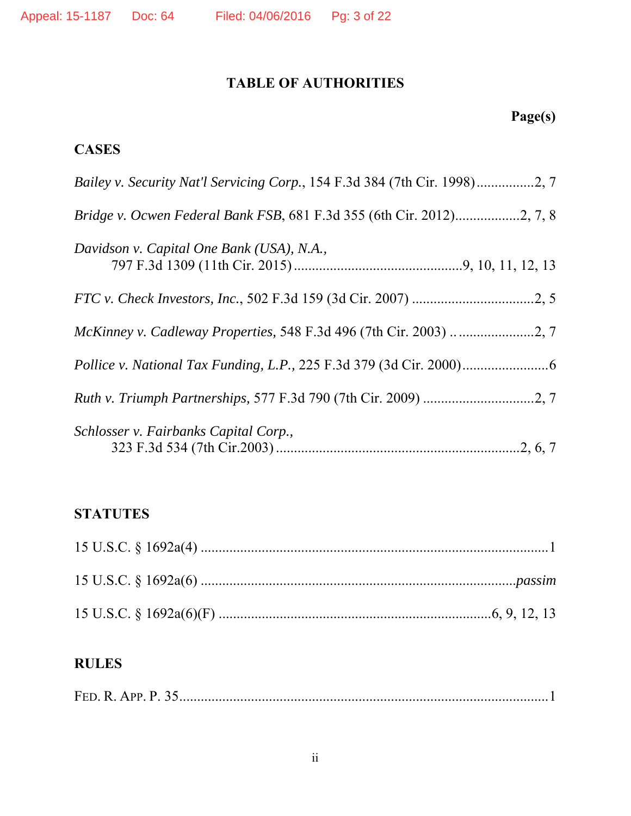# **TABLE OF AUTHORITIES**

# **Page(s)**

## **CASES**

| <i>Bailey v. Security Nat'l Servicing Corp., 154 F.3d 384 (7th Cir. 1998)2, 7</i> |
|-----------------------------------------------------------------------------------|
|                                                                                   |
| Davidson v. Capital One Bank (USA), N.A.,                                         |
|                                                                                   |
|                                                                                   |
|                                                                                   |
|                                                                                   |
| Schlosser v. Fairbanks Capital Corp.,                                             |

## **STATUTES**

## **RULES**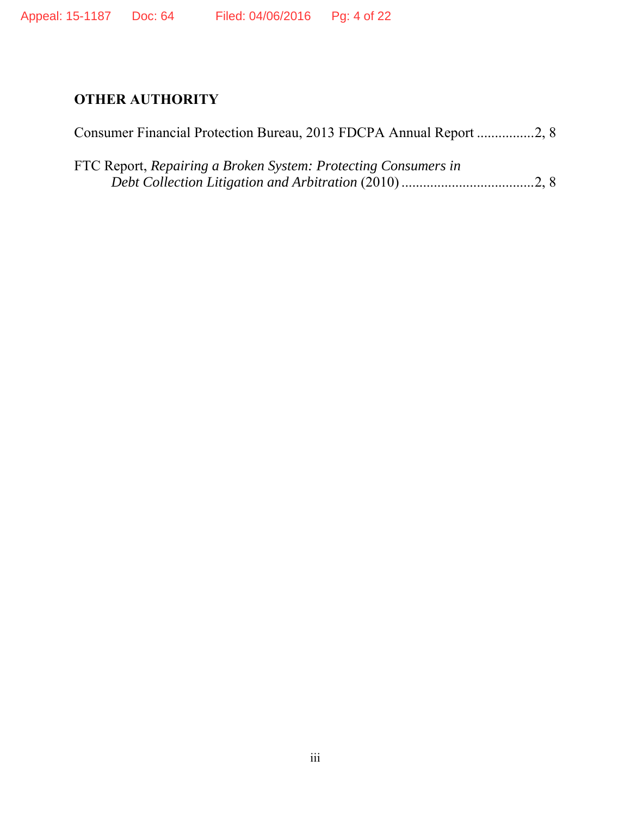# **OTHER AUTHORITY**

| FTC Report, Repairing a Broken System: Protecting Consumers in |  |
|----------------------------------------------------------------|--|
|                                                                |  |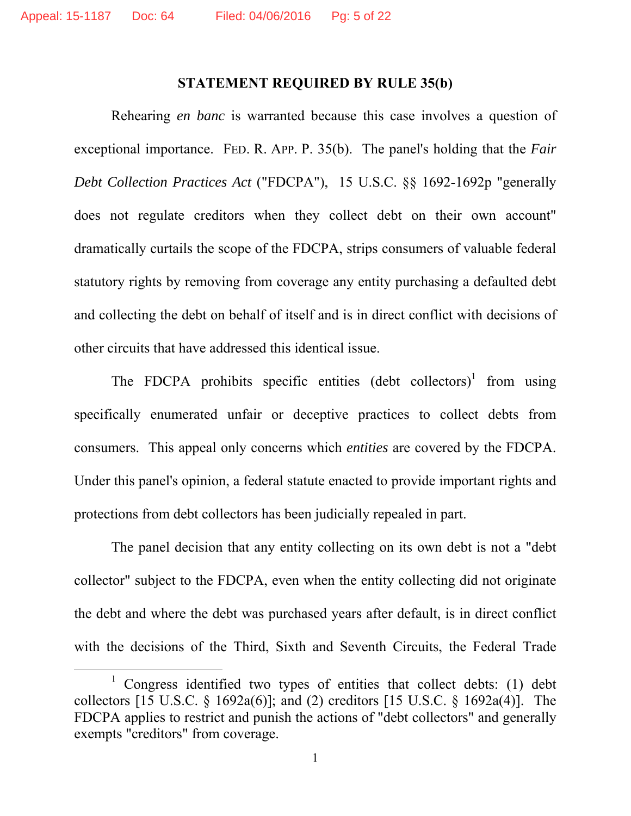### **STATEMENT REQUIRED BY RULE 35(b)**

 Rehearing *en banc* is warranted because this case involves a question of exceptional importance. FED. R. APP. P. 35(b). The panel's holding that the *Fair Debt Collection Practices Act* ("FDCPA"), 15 U.S.C. §§ 1692-1692p "generally does not regulate creditors when they collect debt on their own account" dramatically curtails the scope of the FDCPA, strips consumers of valuable federal statutory rights by removing from coverage any entity purchasing a defaulted debt and collecting the debt on behalf of itself and is in direct conflict with decisions of other circuits that have addressed this identical issue.

The FDCPA prohibits specific entities  $(debt$  collectors)<sup>1</sup> from using specifically enumerated unfair or deceptive practices to collect debts from consumers. This appeal only concerns which *entities* are covered by the FDCPA. Under this panel's opinion, a federal statute enacted to provide important rights and protections from debt collectors has been judicially repealed in part.

 The panel decision that any entity collecting on its own debt is not a "debt collector" subject to the FDCPA, even when the entity collecting did not originate the debt and where the debt was purchased years after default, is in direct conflict with the decisions of the Third, Sixth and Seventh Circuits, the Federal Trade

<sup>&</sup>lt;u>1</u>  $\frac{1}{1}$  Congress identified two types of entities that collect debts: (1) debt collectors [15 U.S.C. § 1692a(6)]; and (2) creditors [15 U.S.C. § 1692a(4)]. The FDCPA applies to restrict and punish the actions of "debt collectors" and generally exempts "creditors" from coverage.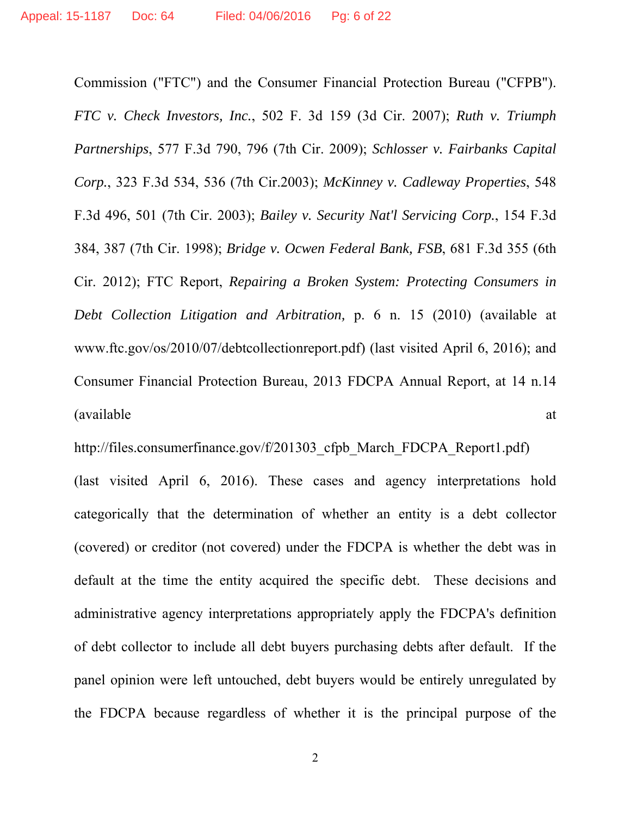Commission ("FTC") and the Consumer Financial Protection Bureau ("CFPB"). *FTC v. Check Investors, Inc.*, 502 F. 3d 159 (3d Cir. 2007); *Ruth v. Triumph Partnerships*, 577 F.3d 790, 796 (7th Cir. 2009); *Schlosser v. Fairbanks Capital Corp.*, 323 F.3d 534, 536 (7th Cir.2003); *McKinney v. Cadleway Properties*, 548 F.3d 496, 501 (7th Cir. 2003); *Bailey v. Security Nat'l Servicing Corp.*, 154 F.3d 384, 387 (7th Cir. 1998); *Bridge v. Ocwen Federal Bank, FSB*, 681 F.3d 355 (6th Cir. 2012); FTC Report, *Repairing a Broken System: Protecting Consumers in Debt Collection Litigation and Arbitration,* p. 6 n. 15 (2010) (available at www.ftc.gov/os/2010/07/debtcollectionreport.pdf) (last visited April 6, 2016); and Consumer Financial Protection Bureau, 2013 FDCPA Annual Report, at 14 n.14 (available at a

http://files.consumerfinance.gov/f/201303 cfpb March FDCPA Report1.pdf) (last visited April 6, 2016). These cases and agency interpretations hold categorically that the determination of whether an entity is a debt collector (covered) or creditor (not covered) under the FDCPA is whether the debt was in default at the time the entity acquired the specific debt. These decisions and administrative agency interpretations appropriately apply the FDCPA's definition of debt collector to include all debt buyers purchasing debts after default. If the panel opinion were left untouched, debt buyers would be entirely unregulated by the FDCPA because regardless of whether it is the principal purpose of the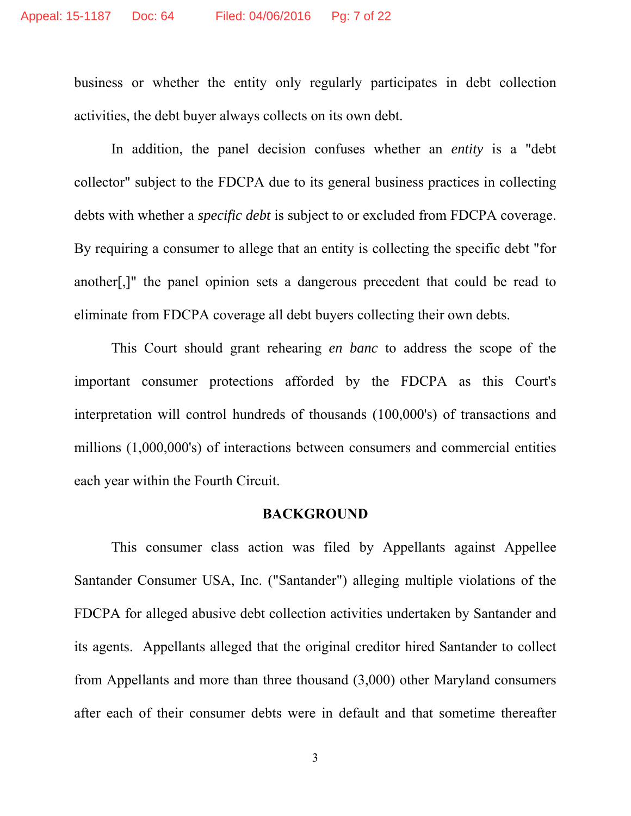business or whether the entity only regularly participates in debt collection activities, the debt buyer always collects on its own debt.

 In addition, the panel decision confuses whether an *entity* is a "debt collector" subject to the FDCPA due to its general business practices in collecting debts with whether a *specific debt* is subject to or excluded from FDCPA coverage. By requiring a consumer to allege that an entity is collecting the specific debt "for another[,]" the panel opinion sets a dangerous precedent that could be read to eliminate from FDCPA coverage all debt buyers collecting their own debts.

 This Court should grant rehearing *en banc* to address the scope of the important consumer protections afforded by the FDCPA as this Court's interpretation will control hundreds of thousands (100,000's) of transactions and millions (1,000,000's) of interactions between consumers and commercial entities each year within the Fourth Circuit.

#### **BACKGROUND**

 This consumer class action was filed by Appellants against Appellee Santander Consumer USA, Inc. ("Santander") alleging multiple violations of the FDCPA for alleged abusive debt collection activities undertaken by Santander and its agents. Appellants alleged that the original creditor hired Santander to collect from Appellants and more than three thousand (3,000) other Maryland consumers after each of their consumer debts were in default and that sometime thereafter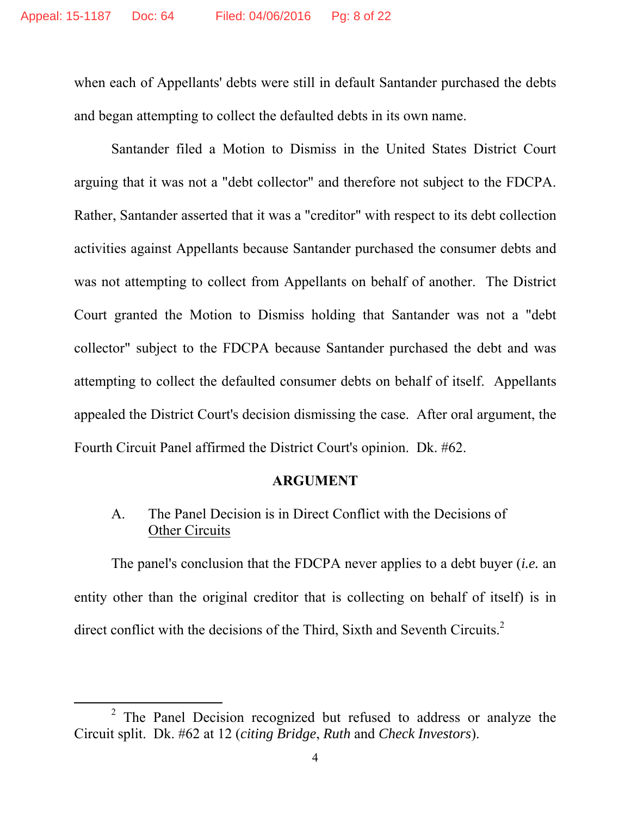when each of Appellants' debts were still in default Santander purchased the debts and began attempting to collect the defaulted debts in its own name.

 Santander filed a Motion to Dismiss in the United States District Court arguing that it was not a "debt collector" and therefore not subject to the FDCPA. Rather, Santander asserted that it was a "creditor" with respect to its debt collection activities against Appellants because Santander purchased the consumer debts and was not attempting to collect from Appellants on behalf of another. The District Court granted the Motion to Dismiss holding that Santander was not a "debt collector" subject to the FDCPA because Santander purchased the debt and was attempting to collect the defaulted consumer debts on behalf of itself. Appellants appealed the District Court's decision dismissing the case. After oral argument, the Fourth Circuit Panel affirmed the District Court's opinion. Dk. #62.

#### **ARGUMENT**

## A. The Panel Decision is in Direct Conflict with the Decisions of Other Circuits

 The panel's conclusion that the FDCPA never applies to a debt buyer (*i.e.* an entity other than the original creditor that is collecting on behalf of itself) is in direct conflict with the decisions of the Third, Sixth and Seventh Circuits.<sup>2</sup>

 $\frac{1}{2}$ <sup>2</sup> The Panel Decision recognized but refused to address or analyze the Circuit split. Dk. #62 at 12 (*citing Bridge*, *Ruth* and *Check Investors*).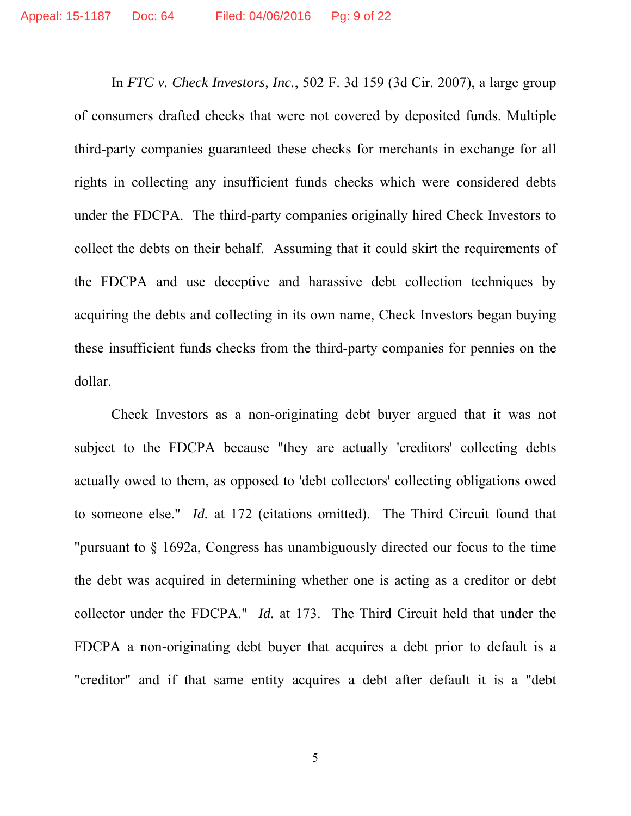In *FTC v. Check Investors, Inc.*, 502 F. 3d 159 (3d Cir. 2007), a large group of consumers drafted checks that were not covered by deposited funds. Multiple third-party companies guaranteed these checks for merchants in exchange for all rights in collecting any insufficient funds checks which were considered debts under the FDCPA. The third-party companies originally hired Check Investors to collect the debts on their behalf. Assuming that it could skirt the requirements of the FDCPA and use deceptive and harassive debt collection techniques by acquiring the debts and collecting in its own name, Check Investors began buying these insufficient funds checks from the third-party companies for pennies on the dollar.

Check Investors as a non-originating debt buyer argued that it was not subject to the FDCPA because "they are actually 'creditors' collecting debts actually owed to them, as opposed to 'debt collectors' collecting obligations owed to someone else." *Id.* at 172 (citations omitted). The Third Circuit found that "pursuant to § 1692a, Congress has unambiguously directed our focus to the time the debt was acquired in determining whether one is acting as a creditor or debt collector under the FDCPA." *Id.* at 173. The Third Circuit held that under the FDCPA a non-originating debt buyer that acquires a debt prior to default is a "creditor" and if that same entity acquires a debt after default it is a "debt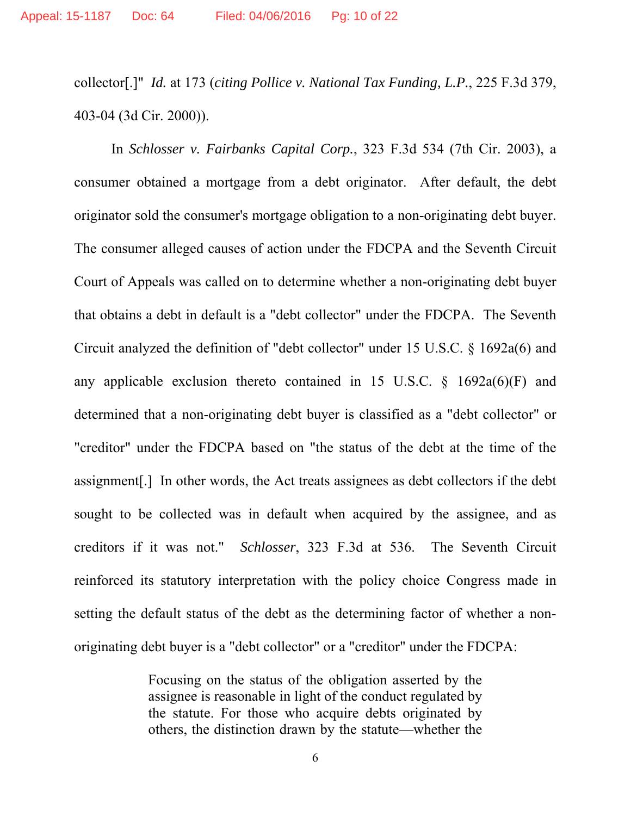collector[.]" *Id.* at 173 (*citing Pollice v. National Tax Funding, L.P.*, 225 F.3d 379, 403-04 (3d Cir. 2000)).

 In *Schlosser v. Fairbanks Capital Corp.*, 323 F.3d 534 (7th Cir. 2003), a consumer obtained a mortgage from a debt originator. After default, the debt originator sold the consumer's mortgage obligation to a non-originating debt buyer. The consumer alleged causes of action under the FDCPA and the Seventh Circuit Court of Appeals was called on to determine whether a non-originating debt buyer that obtains a debt in default is a "debt collector" under the FDCPA. The Seventh Circuit analyzed the definition of "debt collector" under 15 U.S.C. § 1692a(6) and any applicable exclusion thereto contained in 15 U.S.C.  $\S$  1692a(6)(F) and determined that a non-originating debt buyer is classified as a "debt collector" or "creditor" under the FDCPA based on "the status of the debt at the time of the assignment[.] In other words, the Act treats assignees as debt collectors if the debt sought to be collected was in default when acquired by the assignee, and as creditors if it was not." *Schlosser*, 323 F.3d at 536. The Seventh Circuit reinforced its statutory interpretation with the policy choice Congress made in setting the default status of the debt as the determining factor of whether a nonoriginating debt buyer is a "debt collector" or a "creditor" under the FDCPA:

> Focusing on the status of the obligation asserted by the assignee is reasonable in light of the conduct regulated by the statute. For those who acquire debts originated by others, the distinction drawn by the statute—whether the

> > 6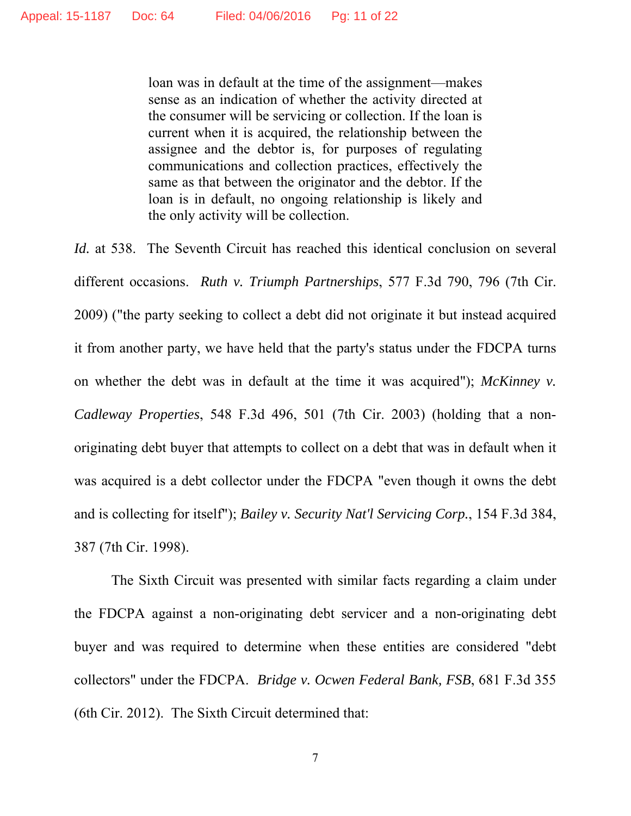loan was in default at the time of the assignment—makes sense as an indication of whether the activity directed at the consumer will be servicing or collection. If the loan is current when it is acquired, the relationship between the assignee and the debtor is, for purposes of regulating communications and collection practices, effectively the same as that between the originator and the debtor. If the loan is in default, no ongoing relationship is likely and the only activity will be collection.

*Id.* at 538. The Seventh Circuit has reached this identical conclusion on several different occasions. *Ruth v. Triumph Partnerships*, 577 F.3d 790, 796 (7th Cir. 2009) ("the party seeking to collect a debt did not originate it but instead acquired it from another party, we have held that the party's status under the FDCPA turns on whether the debt was in default at the time it was acquired"); *McKinney v. Cadleway Properties*, 548 F.3d 496, 501 (7th Cir. 2003) (holding that a nonoriginating debt buyer that attempts to collect on a debt that was in default when it was acquired is a debt collector under the FDCPA "even though it owns the debt and is collecting for itself"); *Bailey v. Security Nat'l Servicing Corp.*, 154 F.3d 384, 387 (7th Cir. 1998).

The Sixth Circuit was presented with similar facts regarding a claim under the FDCPA against a non-originating debt servicer and a non-originating debt buyer and was required to determine when these entities are considered "debt collectors" under the FDCPA. *Bridge v. Ocwen Federal Bank, FSB*, 681 F.3d 355 (6th Cir. 2012). The Sixth Circuit determined that: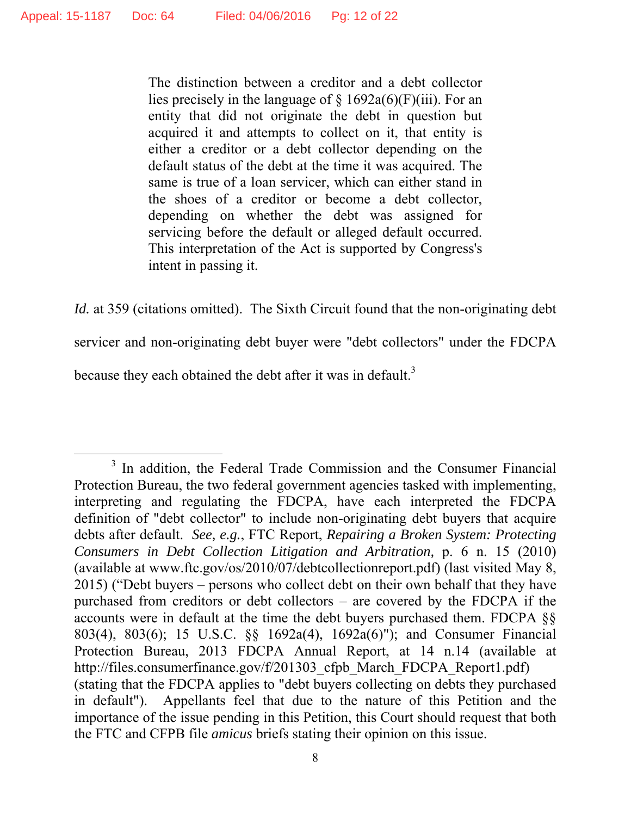The distinction between a creditor and a debt collector lies precisely in the language of  $\S$  1692a(6)(F)(iii). For an entity that did not originate the debt in question but acquired it and attempts to collect on it, that entity is either a creditor or a debt collector depending on the default status of the debt at the time it was acquired. The same is true of a loan servicer, which can either stand in the shoes of a creditor or become a debt collector, depending on whether the debt was assigned for servicing before the default or alleged default occurred. This interpretation of the Act is supported by Congress's intent in passing it.

*Id.* at 359 (citations omitted). The Sixth Circuit found that the non-originating debt servicer and non-originating debt buyer were "debt collectors" under the FDCPA because they each obtained the debt after it was in default.<sup>3</sup>

 $\overline{\phantom{a}}$  $3$  In addition, the Federal Trade Commission and the Consumer Financial Protection Bureau, the two federal government agencies tasked with implementing, interpreting and regulating the FDCPA, have each interpreted the FDCPA definition of "debt collector" to include non-originating debt buyers that acquire debts after default. *See, e.g.*, FTC Report, *Repairing a Broken System: Protecting Consumers in Debt Collection Litigation and Arbitration,* p. 6 n. 15 (2010) (available at www.ftc.gov/os/2010/07/debtcollectionreport.pdf) (last visited May 8, 2015) ("Debt buyers – persons who collect debt on their own behalf that they have purchased from creditors or debt collectors – are covered by the FDCPA if the accounts were in default at the time the debt buyers purchased them. FDCPA §§ 803(4), 803(6); 15 U.S.C. §§ 1692a(4), 1692a(6)"); and Consumer Financial Protection Bureau, 2013 FDCPA Annual Report, at 14 n.14 (available at http://files.consumerfinance.gov/f/201303 cfpb\_March\_FDCPA\_Report1.pdf) (stating that the FDCPA applies to "debt buyers collecting on debts they purchased in default"). Appellants feel that due to the nature of this Petition and the importance of the issue pending in this Petition, this Court should request that both the FTC and CFPB file *amicus* briefs stating their opinion on this issue.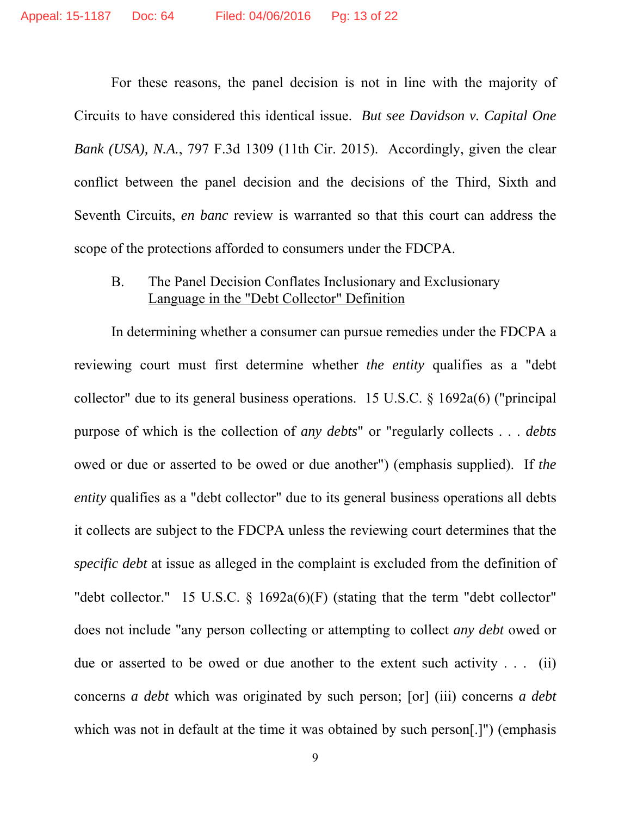For these reasons, the panel decision is not in line with the majority of Circuits to have considered this identical issue. *But see Davidson v. Capital One Bank (USA), N.A.*, 797 F.3d 1309 (11th Cir. 2015). Accordingly, given the clear conflict between the panel decision and the decisions of the Third, Sixth and Seventh Circuits, *en banc* review is warranted so that this court can address the scope of the protections afforded to consumers under the FDCPA.

## B. The Panel Decision Conflates Inclusionary and Exclusionary Language in the "Debt Collector" Definition

 In determining whether a consumer can pursue remedies under the FDCPA a reviewing court must first determine whether *the entity* qualifies as a "debt collector" due to its general business operations. 15 U.S.C. § 1692a(6) ("principal purpose of which is the collection of *any debts*" or "regularly collects . . . *debts* owed or due or asserted to be owed or due another") (emphasis supplied). If *the entity* qualifies as a "debt collector" due to its general business operations all debts it collects are subject to the FDCPA unless the reviewing court determines that the *specific debt* at issue as alleged in the complaint is excluded from the definition of "debt collector." 15 U.S.C. § 1692a(6)(F) (stating that the term "debt collector" does not include "any person collecting or attempting to collect *any debt* owed or due or asserted to be owed or due another to the extent such activity . . . (ii) concerns *a debt* which was originated by such person; [or] (iii) concerns *a debt* which was not in default at the time it was obtained by such person[.]") (emphasis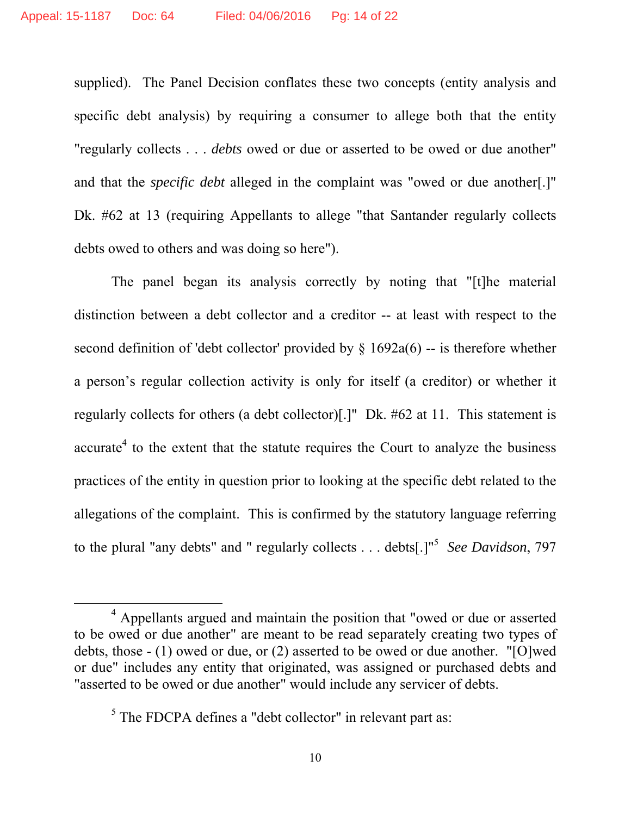supplied). The Panel Decision conflates these two concepts (entity analysis and specific debt analysis) by requiring a consumer to allege both that the entity "regularly collects . . . *debts* owed or due or asserted to be owed or due another" and that the *specific debt* alleged in the complaint was "owed or due another[.]" Dk. #62 at 13 (requiring Appellants to allege "that Santander regularly collects debts owed to others and was doing so here").

 The panel began its analysis correctly by noting that "[t]he material distinction between a debt collector and a creditor -- at least with respect to the second definition of 'debt collector' provided by  $\S$  1692a(6) -- is therefore whether a person's regular collection activity is only for itself (a creditor) or whether it regularly collects for others (a debt collector)[.]" Dk. #62 at 11. This statement is accurate<sup>4</sup> to the extent that the statute requires the Court to analyze the business practices of the entity in question prior to looking at the specific debt related to the allegations of the complaint. This is confirmed by the statutory language referring to the plural "any debts" and " regularly collects . . . debts[.]"<sup>5</sup> *See Davidson*, 797

 $\frac{1}{4}$ <sup>4</sup> Appellants argued and maintain the position that "owed or due or asserted to be owed or due another" are meant to be read separately creating two types of debts, those - (1) owed or due, or (2) asserted to be owed or due another. "[O]wed or due" includes any entity that originated, was assigned or purchased debts and "asserted to be owed or due another" would include any servicer of debts.

 $<sup>5</sup>$  The FDCPA defines a "debt collector" in relevant part as:</sup>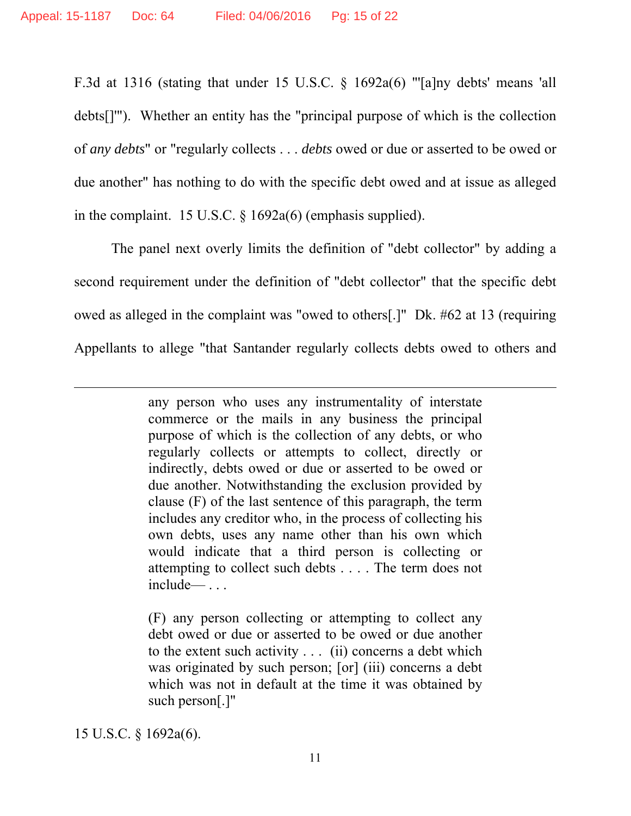$\overline{a}$ 

F.3d at 1316 (stating that under 15 U.S.C. § 1692a(6) "'[a]ny debts' means 'all debts[]'"). Whether an entity has the "principal purpose of which is the collection of *any debts*" or "regularly collects . . . *debts* owed or due or asserted to be owed or due another" has nothing to do with the specific debt owed and at issue as alleged in the complaint. 15 U.S.C. § 1692a(6) (emphasis supplied).

 The panel next overly limits the definition of "debt collector" by adding a second requirement under the definition of "debt collector" that the specific debt owed as alleged in the complaint was "owed to others[.]" Dk. #62 at 13 (requiring Appellants to allege "that Santander regularly collects debts owed to others and

> any person who uses any instrumentality of interstate commerce or the mails in any business the principal purpose of which is the collection of any debts, or who regularly collects or attempts to collect, directly or indirectly, debts owed or due or asserted to be owed or due another. Notwithstanding the exclusion provided by clause (F) of the last sentence of this paragraph, the term includes any creditor who, in the process of collecting his own debts, uses any name other than his own which would indicate that a third person is collecting or attempting to collect such debts . . . . The term does not include— . . .

> (F) any person collecting or attempting to collect any debt owed or due or asserted to be owed or due another to the extent such activity . . . (ii) concerns a debt which was originated by such person; [or] (iii) concerns a debt which was not in default at the time it was obtained by such person[.]"

15 U.S.C. § 1692a(6).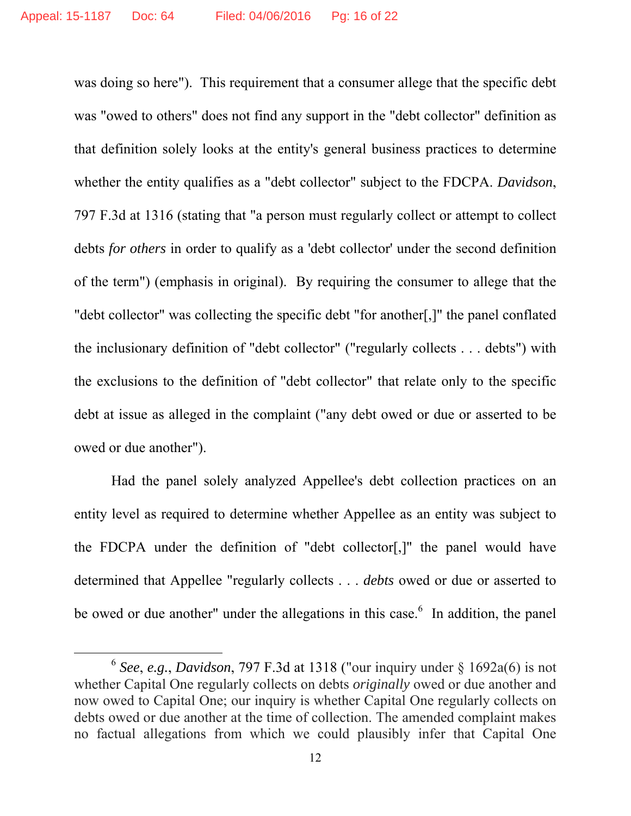was doing so here"). This requirement that a consumer allege that the specific debt was "owed to others" does not find any support in the "debt collector" definition as that definition solely looks at the entity's general business practices to determine whether the entity qualifies as a "debt collector" subject to the FDCPA. *Davidson*, 797 F.3d at 1316 (stating that "a person must regularly collect or attempt to collect debts *for others* in order to qualify as a 'debt collector' under the second definition of the term") (emphasis in original). By requiring the consumer to allege that the "debt collector" was collecting the specific debt "for another[,]" the panel conflated the inclusionary definition of "debt collector" ("regularly collects . . . debts") with the exclusions to the definition of "debt collector" that relate only to the specific debt at issue as alleged in the complaint ("any debt owed or due or asserted to be owed or due another").

 Had the panel solely analyzed Appellee's debt collection practices on an entity level as required to determine whether Appellee as an entity was subject to the FDCPA under the definition of "debt collector[,]" the panel would have determined that Appellee "regularly collects . . . *debts* owed or due or asserted to be owed or due another" under the allegations in this case.<sup>6</sup> In addition, the panel

 <sup>6</sup> *See*, *e.g.*, *Davidson*, 797 F.3d at 1318 ("our inquiry under § 1692a(6) is not whether Capital One regularly collects on debts *originally* owed or due another and now owed to Capital One; our inquiry is whether Capital One regularly collects on debts owed or due another at the time of collection. The amended complaint makes no factual allegations from which we could plausibly infer that Capital One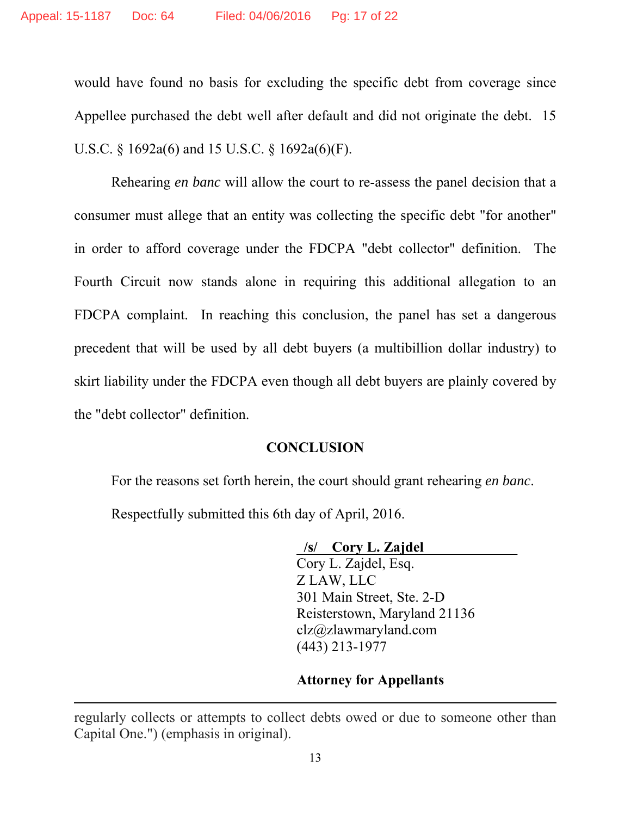would have found no basis for excluding the specific debt from coverage since Appellee purchased the debt well after default and did not originate the debt. 15 U.S.C. § 1692a(6) and 15 U.S.C. § 1692a(6)(F).

 Rehearing *en banc* will allow the court to re-assess the panel decision that a consumer must allege that an entity was collecting the specific debt "for another" in order to afford coverage under the FDCPA "debt collector" definition. The Fourth Circuit now stands alone in requiring this additional allegation to an FDCPA complaint. In reaching this conclusion, the panel has set a dangerous precedent that will be used by all debt buyers (a multibillion dollar industry) to skirt liability under the FDCPA even though all debt buyers are plainly covered by the "debt collector" definition.

### **CONCLUSION**

 For the reasons set forth herein, the court should grant rehearing *en banc*. Respectfully submitted this 6th day of April, 2016.

> **\_/s/\_\_Cory L. Zajdel\_\_\_\_\_\_\_\_\_\_\_\_\_** Cory L. Zajdel, Esq. Z LAW, LLC 301 Main Street, Ste. 2-D Reisterstown, Maryland 21136 clz@zlawmaryland.com (443) 213-1977

### **Attorney for Appellants**

regularly collects or attempts to collect debts owed or due to someone other than Capital One.") (emphasis in original).

 $\overline{a}$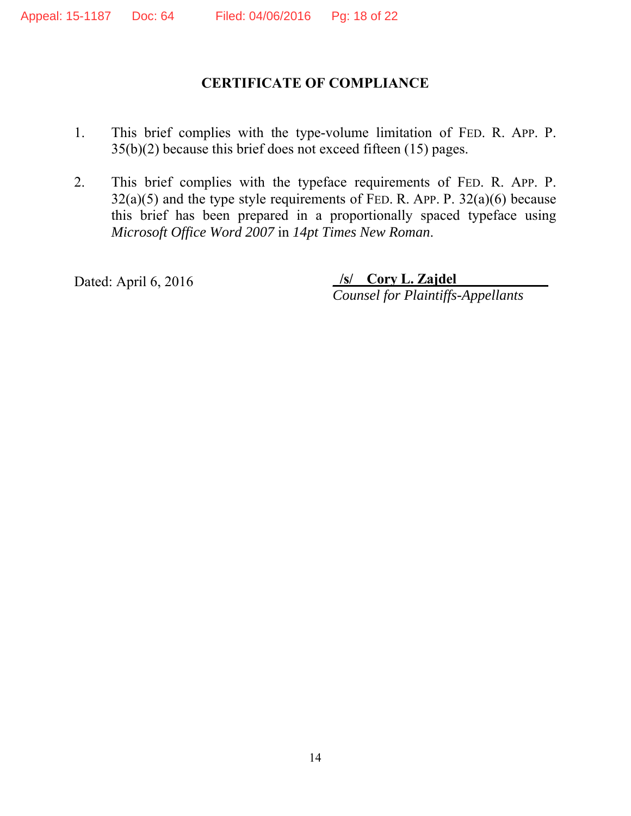## **CERTIFICATE OF COMPLIANCE**

- 1. This brief complies with the type-volume limitation of FED. R. APP. P. 35(b)(2) because this brief does not exceed fifteen (15) pages.
- 2. This brief complies with the typeface requirements of FED. R. APP. P.  $32(a)(5)$  and the type style requirements of FED. R. APP. P.  $32(a)(6)$  because this brief has been prepared in a proportionally spaced typeface using *Microsoft Office Word 2007* in *14pt Times New Roman*.

Dated: April 6, 2016 **\_/s/ Cory L. Zajdel\_\_\_\_\_\_\_\_\_\_\_\_\_** *Counsel for Plaintiffs-Appellants*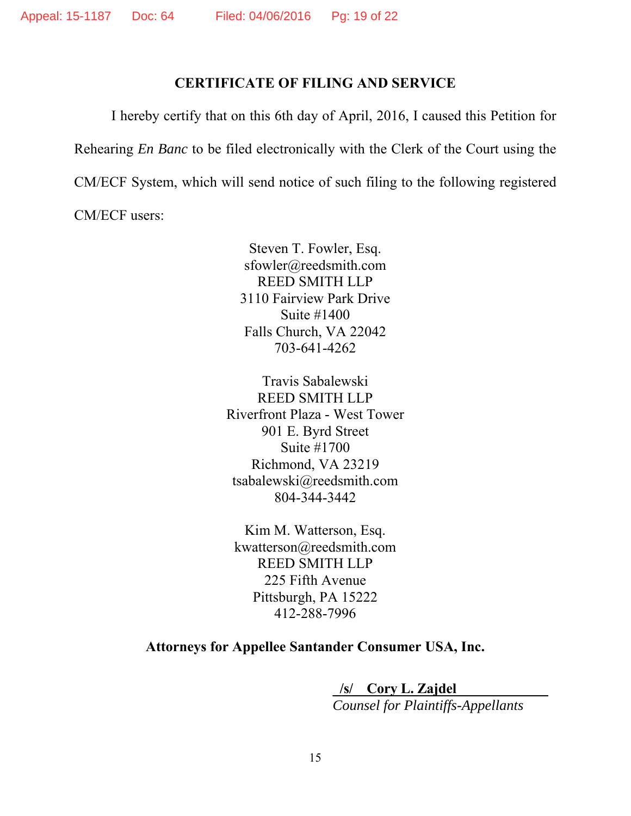### **CERTIFICATE OF FILING AND SERVICE**

 I hereby certify that on this 6th day of April, 2016, I caused this Petition for Rehearing *En Banc* to be filed electronically with the Clerk of the Court using the CM/ECF System, which will send notice of such filing to the following registered CM/ECF users:

> Steven T. Fowler, Esq. sfowler@reedsmith.com REED SMITH LLP 3110 Fairview Park Drive Suite #1400 Falls Church, VA 22042 703-641-4262

Travis Sabalewski REED SMITH LLP Riverfront Plaza - West Tower 901 E. Byrd Street Suite #1700 Richmond, VA 23219 tsabalewski@reedsmith.com 804-344-3442

Kim M. Watterson, Esq. kwatterson@reedsmith.com REED SMITH LLP 225 Fifth Avenue Pittsburgh, PA 15222 412-288-7996

**Attorneys for Appellee Santander Consumer USA, Inc.** 

**\_/s/ Cory L. Zajdel\_\_\_\_\_\_\_\_\_\_\_\_\_** *Counsel for Plaintiffs-Appellants*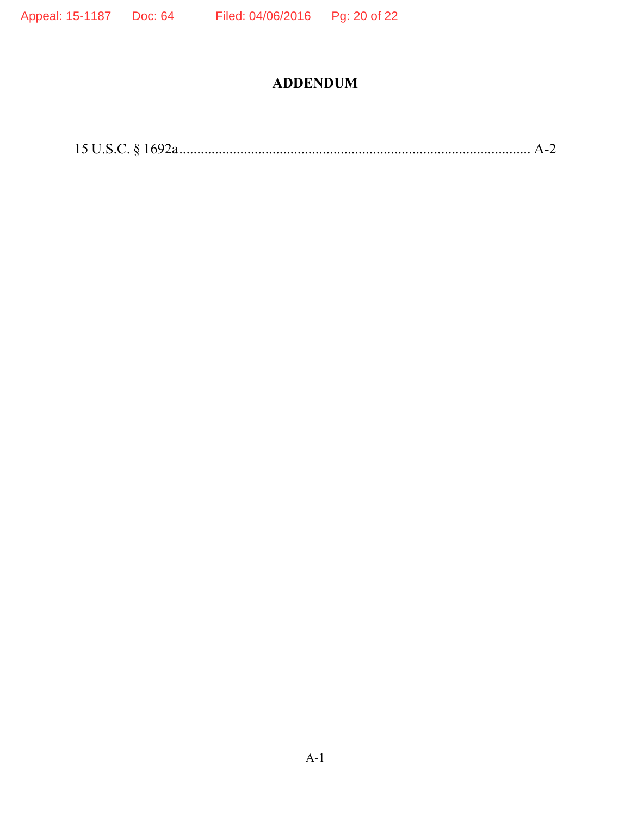# **ADDENDUM**

|--|--|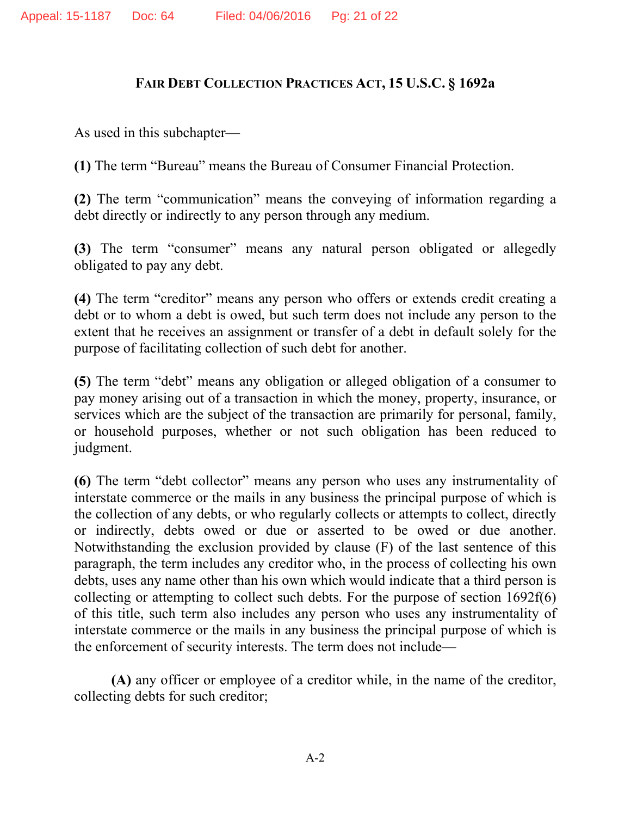## **FAIR DEBT COLLECTION PRACTICES ACT, 15 U.S.C. § 1692a**

As used in this subchapter—

**(1)** The term "Bureau" means the Bureau of Consumer Financial Protection.

**(2)** The term "communication" means the conveying of information regarding a debt directly or indirectly to any person through any medium.

**(3)** The term "consumer" means any natural person obligated or allegedly obligated to pay any debt.

**(4)** The term "creditor" means any person who offers or extends credit creating a debt or to whom a debt is owed, but such term does not include any person to the extent that he receives an assignment or transfer of a debt in default solely for the purpose of facilitating collection of such debt for another.

**(5)** The term "debt" means any obligation or alleged obligation of a consumer to pay money arising out of a transaction in which the money, property, insurance, or services which are the subject of the transaction are primarily for personal, family, or household purposes, whether or not such obligation has been reduced to judgment.

**(6)** The term "debt collector" means any person who uses any instrumentality of interstate commerce or the mails in any business the principal purpose of which is the collection of any debts, or who regularly collects or attempts to collect, directly or indirectly, debts owed or due or asserted to be owed or due another. Notwithstanding the exclusion provided by clause (F) of the last sentence of this paragraph, the term includes any creditor who, in the process of collecting his own debts, uses any name other than his own which would indicate that a third person is collecting or attempting to collect such debts. For the purpose of section 1692f(6) of this title, such term also includes any person who uses any instrumentality of interstate commerce or the mails in any business the principal purpose of which is the enforcement of security interests. The term does not include—

 **(A)** any officer or employee of a creditor while, in the name of the creditor, collecting debts for such creditor;